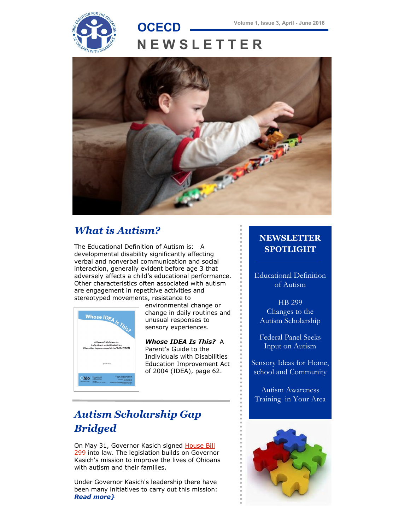# **N E W S L E T T E R**



### *What is Autism?*

The Educational Definition of Autism is: A developmental disability significantly affecting verbal and nonverbal communication and social interaction, generally evident before age 3 that adversely affects a child's educational performance. Other characteristics often associated with autism are engagement in repetitive activities and stereotyped movements, resistance to



 environmental change or change in daily routines and unusual responses to sensory experiences.

 *Whose IDEA Is This?* A Parent's Guide to the Individuals with Disabilities Education Improvement Act of 2004 (IDEA), page 62.

#### **NEWSLETTER SPOTLIGHT**

Educational Definition of Autism

HB 299 Changes to the Autism Scholarship

Federal Panel Seeks Input on Autism

Sensory Ideas for Home, school and Community

Autism Awareness Training in Your Area

## *[Autism Scholarship Gap](http://dodd.ohio.gov/PipelineWeekly/Lists/Posts/Post.aspx?ID=120)  [Bridged](http://dodd.ohio.gov/PipelineWeekly/Lists/Posts/Post.aspx?ID=120)*

On May 31, Governor Kasich signed House Bill [299](https://www.legislature.ohio.gov/legislation/legislation-summary?id=GA131-HB-299) into law. The legislation builds on Governor Kasich's mission to improve the lives of Ohioans with autism and their families.

Under Governor Kasich's leadership there have been many initiatives to carry out this mission: *[Read more}](http://www.ocecd.org/Downloads/Autism%20Scholarship%20Gap%20Bridged.pdf)*